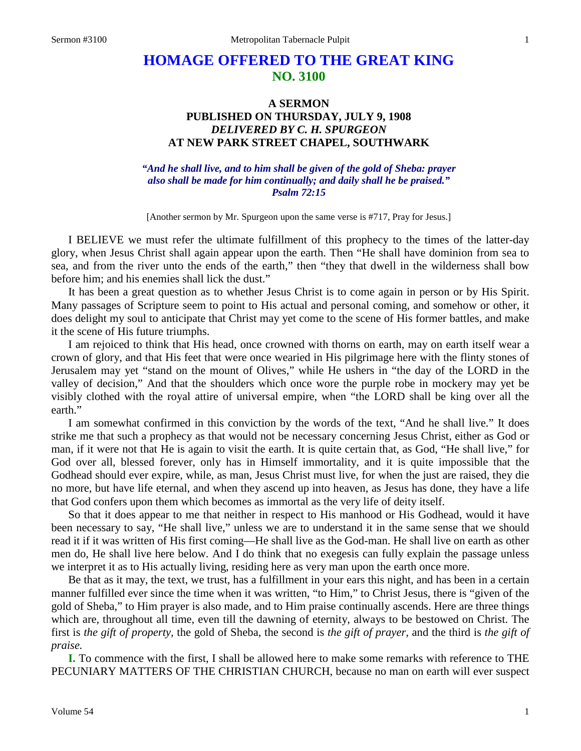## **HOMAGE OFFERED TO THE GREAT KING NO. 3100**

## **A SERMON PUBLISHED ON THURSDAY, JULY 9, 1908** *DELIVERED BY C. H. SPURGEON* **AT NEW PARK STREET CHAPEL, SOUTHWARK**

## *"And he shall live, and to him shall be given of the gold of Sheba: prayer also shall be made for him continually; and daily shall he be praised." Psalm 72:15*

[Another sermon by Mr. Spurgeon upon the same verse is #717, Pray for Jesus.]

I BELIEVE we must refer the ultimate fulfillment of this prophecy to the times of the latter-day glory, when Jesus Christ shall again appear upon the earth. Then "He shall have dominion from sea to sea, and from the river unto the ends of the earth," then "they that dwell in the wilderness shall bow before him; and his enemies shall lick the dust."

It has been a great question as to whether Jesus Christ is to come again in person or by His Spirit. Many passages of Scripture seem to point to His actual and personal coming, and somehow or other, it does delight my soul to anticipate that Christ may yet come to the scene of His former battles, and make it the scene of His future triumphs.

I am rejoiced to think that His head, once crowned with thorns on earth, may on earth itself wear a crown of glory, and that His feet that were once wearied in His pilgrimage here with the flinty stones of Jerusalem may yet "stand on the mount of Olives," while He ushers in "the day of the LORD in the valley of decision," And that the shoulders which once wore the purple robe in mockery may yet be visibly clothed with the royal attire of universal empire, when "the LORD shall be king over all the earth."

I am somewhat confirmed in this conviction by the words of the text, "And he shall live." It does strike me that such a prophecy as that would not be necessary concerning Jesus Christ, either as God or man, if it were not that He is again to visit the earth. It is quite certain that, as God, "He shall live," for God over all, blessed forever, only has in Himself immortality, and it is quite impossible that the Godhead should ever expire, while, as man, Jesus Christ must live, for when the just are raised, they die no more, but have life eternal, and when they ascend up into heaven, as Jesus has done, they have a life that God confers upon them which becomes as immortal as the very life of deity itself.

So that it does appear to me that neither in respect to His manhood or His Godhead, would it have been necessary to say, "He shall live," unless we are to understand it in the same sense that we should read it if it was written of His first coming—He shall live as the God-man. He shall live on earth as other men do, He shall live here below. And I do think that no exegesis can fully explain the passage unless we interpret it as to His actually living, residing here as very man upon the earth once more.

Be that as it may, the text, we trust, has a fulfillment in your ears this night, and has been in a certain manner fulfilled ever since the time when it was written, "to Him," to Christ Jesus, there is "given of the gold of Sheba," to Him prayer is also made, and to Him praise continually ascends. Here are three things which are, throughout all time, even till the dawning of eternity, always to be bestowed on Christ. The first is *the gift of property,* the gold of Sheba, the second is *the gift of prayer,* and the third is *the gift of praise.* 

**I.** To commence with the first, I shall be allowed here to make some remarks with reference to THE PECUNIARY MATTERS OF THE CHRISTIAN CHURCH, because no man on earth will ever suspect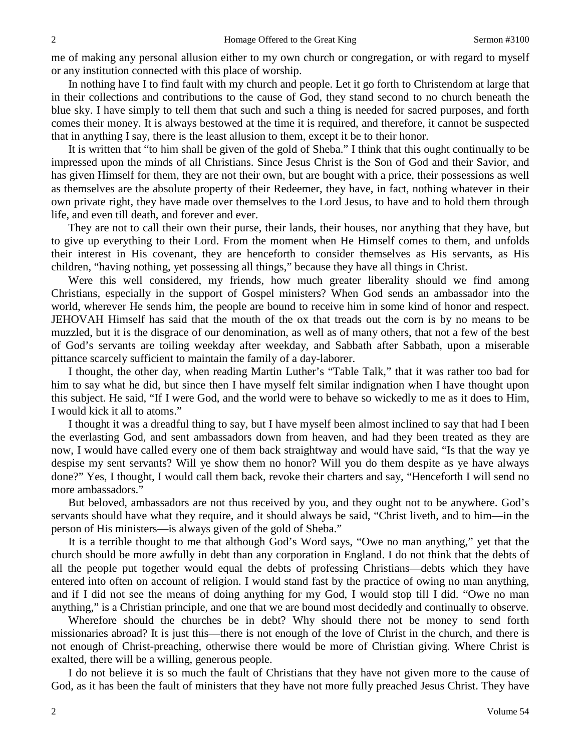me of making any personal allusion either to my own church or congregation, or with regard to myself or any institution connected with this place of worship.

In nothing have I to find fault with my church and people. Let it go forth to Christendom at large that in their collections and contributions to the cause of God, they stand second to no church beneath the blue sky. I have simply to tell them that such and such a thing is needed for sacred purposes, and forth comes their money. It is always bestowed at the time it is required, and therefore, it cannot be suspected that in anything I say, there is the least allusion to them, except it be to their honor.

It is written that "to him shall be given of the gold of Sheba." I think that this ought continually to be impressed upon the minds of all Christians. Since Jesus Christ is the Son of God and their Savior, and has given Himself for them, they are not their own, but are bought with a price, their possessions as well as themselves are the absolute property of their Redeemer, they have, in fact, nothing whatever in their own private right, they have made over themselves to the Lord Jesus, to have and to hold them through life, and even till death, and forever and ever.

They are not to call their own their purse, their lands, their houses, nor anything that they have, but to give up everything to their Lord. From the moment when He Himself comes to them, and unfolds their interest in His covenant, they are henceforth to consider themselves as His servants, as His children, "having nothing, yet possessing all things," because they have all things in Christ.

Were this well considered, my friends, how much greater liberality should we find among Christians, especially in the support of Gospel ministers? When God sends an ambassador into the world, wherever He sends him, the people are bound to receive him in some kind of honor and respect. JEHOVAH Himself has said that the mouth of the ox that treads out the corn is by no means to be muzzled, but it is the disgrace of our denomination, as well as of many others, that not a few of the best of God's servants are toiling weekday after weekday, and Sabbath after Sabbath, upon a miserable pittance scarcely sufficient to maintain the family of a day-laborer.

I thought, the other day, when reading Martin Luther's "Table Talk," that it was rather too bad for him to say what he did, but since then I have myself felt similar indignation when I have thought upon this subject. He said, "If I were God, and the world were to behave so wickedly to me as it does to Him, I would kick it all to atoms."

I thought it was a dreadful thing to say, but I have myself been almost inclined to say that had I been the everlasting God, and sent ambassadors down from heaven, and had they been treated as they are now, I would have called every one of them back straightway and would have said, "Is that the way ye despise my sent servants? Will ye show them no honor? Will you do them despite as ye have always done?" Yes, I thought, I would call them back, revoke their charters and say, "Henceforth I will send no more ambassadors."

But beloved, ambassadors are not thus received by you, and they ought not to be anywhere. God's servants should have what they require, and it should always be said, "Christ liveth, and to him—in the person of His ministers—is always given of the gold of Sheba."

It is a terrible thought to me that although God's Word says, "Owe no man anything," yet that the church should be more awfully in debt than any corporation in England. I do not think that the debts of all the people put together would equal the debts of professing Christians—debts which they have entered into often on account of religion. I would stand fast by the practice of owing no man anything, and if I did not see the means of doing anything for my God, I would stop till I did. "Owe no man anything," is a Christian principle, and one that we are bound most decidedly and continually to observe.

Wherefore should the churches be in debt? Why should there not be money to send forth missionaries abroad? It is just this—there is not enough of the love of Christ in the church, and there is not enough of Christ-preaching, otherwise there would be more of Christian giving. Where Christ is exalted, there will be a willing, generous people.

I do not believe it is so much the fault of Christians that they have not given more to the cause of God, as it has been the fault of ministers that they have not more fully preached Jesus Christ. They have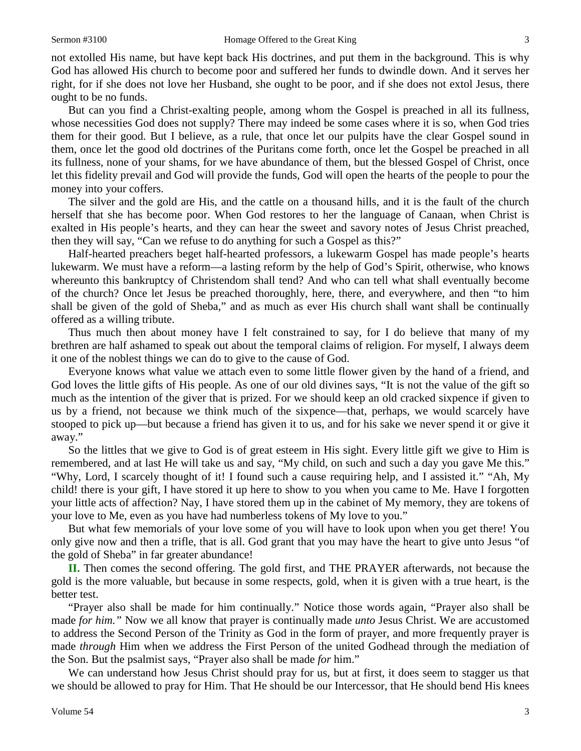not extolled His name, but have kept back His doctrines, and put them in the background. This is why God has allowed His church to become poor and suffered her funds to dwindle down. And it serves her right, for if she does not love her Husband, she ought to be poor, and if she does not extol Jesus, there ought to be no funds.

But can you find a Christ-exalting people, among whom the Gospel is preached in all its fullness, whose necessities God does not supply? There may indeed be some cases where it is so, when God tries them for their good. But I believe, as a rule, that once let our pulpits have the clear Gospel sound in them, once let the good old doctrines of the Puritans come forth, once let the Gospel be preached in all its fullness, none of your shams, for we have abundance of them, but the blessed Gospel of Christ, once let this fidelity prevail and God will provide the funds, God will open the hearts of the people to pour the money into your coffers.

The silver and the gold are His, and the cattle on a thousand hills, and it is the fault of the church herself that she has become poor. When God restores to her the language of Canaan, when Christ is exalted in His people's hearts, and they can hear the sweet and savory notes of Jesus Christ preached, then they will say, "Can we refuse to do anything for such a Gospel as this?"

Half-hearted preachers beget half-hearted professors, a lukewarm Gospel has made people's hearts lukewarm. We must have a reform—a lasting reform by the help of God's Spirit, otherwise, who knows whereunto this bankruptcy of Christendom shall tend? And who can tell what shall eventually become of the church? Once let Jesus be preached thoroughly, here, there, and everywhere, and then "to him shall be given of the gold of Sheba," and as much as ever His church shall want shall be continually offered as a willing tribute.

Thus much then about money have I felt constrained to say, for I do believe that many of my brethren are half ashamed to speak out about the temporal claims of religion. For myself, I always deem it one of the noblest things we can do to give to the cause of God.

Everyone knows what value we attach even to some little flower given by the hand of a friend, and God loves the little gifts of His people. As one of our old divines says, "It is not the value of the gift so much as the intention of the giver that is prized. For we should keep an old cracked sixpence if given to us by a friend, not because we think much of the sixpence—that, perhaps, we would scarcely have stooped to pick up—but because a friend has given it to us, and for his sake we never spend it or give it away."

So the littles that we give to God is of great esteem in His sight. Every little gift we give to Him is remembered, and at last He will take us and say, "My child, on such and such a day you gave Me this." "Why, Lord, I scarcely thought of it! I found such a cause requiring help, and I assisted it." "Ah, My child! there is your gift, I have stored it up here to show to you when you came to Me. Have I forgotten your little acts of affection? Nay, I have stored them up in the cabinet of My memory, they are tokens of your love to Me, even as you have had numberless tokens of My love to you."

But what few memorials of your love some of you will have to look upon when you get there! You only give now and then a trifle, that is all. God grant that you may have the heart to give unto Jesus "of the gold of Sheba" in far greater abundance!

**II.** Then comes the second offering. The gold first, and THE PRAYER afterwards, not because the gold is the more valuable, but because in some respects, gold, when it is given with a true heart, is the better test.

"Prayer also shall be made for him continually." Notice those words again, "Prayer also shall be made *for him."* Now we all know that prayer is continually made *unto* Jesus Christ. We are accustomed to address the Second Person of the Trinity as God in the form of prayer, and more frequently prayer is made *through* Him when we address the First Person of the united Godhead through the mediation of the Son. But the psalmist says, "Prayer also shall be made *for* him."

We can understand how Jesus Christ should pray for us, but at first, it does seem to stagger us that we should be allowed to pray for Him. That He should be our Intercessor, that He should bend His knees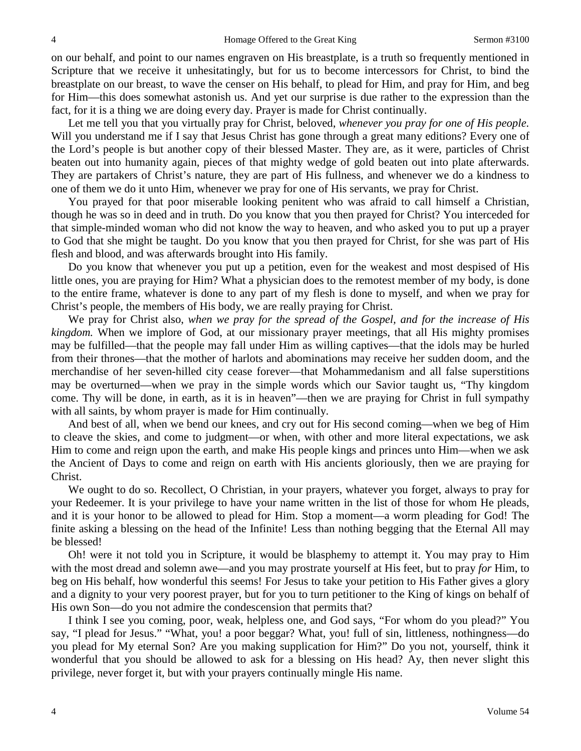on our behalf, and point to our names engraven on His breastplate, is a truth so frequently mentioned in Scripture that we receive it unhesitatingly, but for us to become intercessors for Christ, to bind the breastplate on our breast, to wave the censer on His behalf, to plead for Him, and pray for Him, and beg for Him—this does somewhat astonish us. And yet our surprise is due rather to the expression than the fact, for it is a thing we are doing every day. Prayer is made for Christ continually.

Let me tell you that you virtually pray for Christ, beloved, *whenever you pray for one of His people.*  Will you understand me if I say that Jesus Christ has gone through a great many editions? Every one of the Lord's people is but another copy of their blessed Master. They are, as it were, particles of Christ beaten out into humanity again, pieces of that mighty wedge of gold beaten out into plate afterwards. They are partakers of Christ's nature, they are part of His fullness, and whenever we do a kindness to one of them we do it unto Him, whenever we pray for one of His servants, we pray for Christ.

You prayed for that poor miserable looking penitent who was afraid to call himself a Christian, though he was so in deed and in truth. Do you know that you then prayed for Christ? You interceded for that simple-minded woman who did not know the way to heaven, and who asked you to put up a prayer to God that she might be taught. Do you know that you then prayed for Christ, for she was part of His flesh and blood, and was afterwards brought into His family.

Do you know that whenever you put up a petition, even for the weakest and most despised of His little ones, you are praying for Him? What a physician does to the remotest member of my body, is done to the entire frame, whatever is done to any part of my flesh is done to myself, and when we pray for Christ's people, the members of His body, we are really praying for Christ.

We pray for Christ also, *when we pray for the spread of the Gospel, and for the increase of His kingdom.* When we implore of God, at our missionary prayer meetings, that all His mighty promises may be fulfilled—that the people may fall under Him as willing captives—that the idols may be hurled from their thrones—that the mother of harlots and abominations may receive her sudden doom, and the merchandise of her seven-hilled city cease forever—that Mohammedanism and all false superstitions may be overturned—when we pray in the simple words which our Savior taught us, "Thy kingdom come. Thy will be done, in earth, as it is in heaven"—then we are praying for Christ in full sympathy with all saints, by whom prayer is made for Him continually.

And best of all, when we bend our knees, and cry out for His second coming—when we beg of Him to cleave the skies, and come to judgment—or when, with other and more literal expectations, we ask Him to come and reign upon the earth, and make His people kings and princes unto Him—when we ask the Ancient of Days to come and reign on earth with His ancients gloriously, then we are praying for Christ.

We ought to do so. Recollect, O Christian, in your prayers, whatever you forget, always to pray for your Redeemer. It is your privilege to have your name written in the list of those for whom He pleads, and it is your honor to be allowed to plead for Him. Stop a moment—a worm pleading for God! The finite asking a blessing on the head of the Infinite! Less than nothing begging that the Eternal All may be blessed!

Oh! were it not told you in Scripture, it would be blasphemy to attempt it. You may pray to Him with the most dread and solemn awe—and you may prostrate yourself at His feet, but to pray *for* Him, to beg on His behalf, how wonderful this seems! For Jesus to take your petition to His Father gives a glory and a dignity to your very poorest prayer, but for you to turn petitioner to the King of kings on behalf of His own Son—do you not admire the condescension that permits that?

I think I see you coming, poor, weak, helpless one, and God says, "For whom do you plead?" You say, "I plead for Jesus." "What, you! a poor beggar? What, you! full of sin, littleness, nothingness—do you plead for My eternal Son? Are you making supplication for Him?" Do you not, yourself, think it wonderful that you should be allowed to ask for a blessing on His head? Ay, then never slight this privilege, never forget it, but with your prayers continually mingle His name.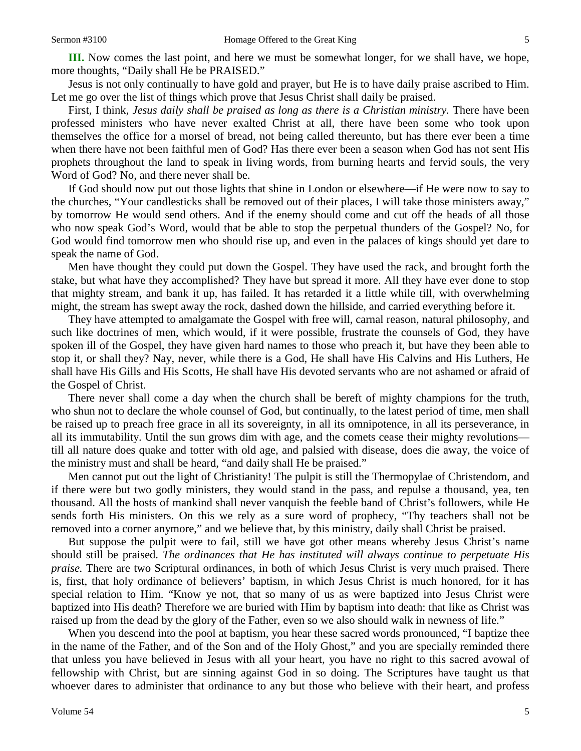Jesus is not only continually to have gold and prayer, but He is to have daily praise ascribed to Him. Let me go over the list of things which prove that Jesus Christ shall daily be praised.

First, I think, *Jesus daily shall be praised as long as there is a Christian ministry.* There have been professed ministers who have never exalted Christ at all, there have been some who took upon themselves the office for a morsel of bread, not being called thereunto, but has there ever been a time when there have not been faithful men of God? Has there ever been a season when God has not sent His prophets throughout the land to speak in living words, from burning hearts and fervid souls, the very Word of God? No, and there never shall be.

If God should now put out those lights that shine in London or elsewhere—if He were now to say to the churches, "Your candlesticks shall be removed out of their places, I will take those ministers away," by tomorrow He would send others. And if the enemy should come and cut off the heads of all those who now speak God's Word, would that be able to stop the perpetual thunders of the Gospel? No, for God would find tomorrow men who should rise up, and even in the palaces of kings should yet dare to speak the name of God.

Men have thought they could put down the Gospel. They have used the rack, and brought forth the stake, but what have they accomplished? They have but spread it more. All they have ever done to stop that mighty stream, and bank it up, has failed. It has retarded it a little while till, with overwhelming might, the stream has swept away the rock, dashed down the hillside, and carried everything before it.

They have attempted to amalgamate the Gospel with free will, carnal reason, natural philosophy, and such like doctrines of men, which would, if it were possible, frustrate the counsels of God, they have spoken ill of the Gospel, they have given hard names to those who preach it, but have they been able to stop it, or shall they? Nay, never, while there is a God, He shall have His Calvins and His Luthers, He shall have His Gills and His Scotts, He shall have His devoted servants who are not ashamed or afraid of the Gospel of Christ.

There never shall come a day when the church shall be bereft of mighty champions for the truth, who shun not to declare the whole counsel of God, but continually, to the latest period of time, men shall be raised up to preach free grace in all its sovereignty, in all its omnipotence, in all its perseverance, in all its immutability. Until the sun grows dim with age, and the comets cease their mighty revolutions till all nature does quake and totter with old age, and palsied with disease, does die away, the voice of the ministry must and shall be heard, "and daily shall He be praised."

Men cannot put out the light of Christianity! The pulpit is still the Thermopylae of Christendom, and if there were but two godly ministers, they would stand in the pass, and repulse a thousand, yea, ten thousand. All the hosts of mankind shall never vanquish the feeble band of Christ's followers, while He sends forth His ministers. On this we rely as a sure word of prophecy, "Thy teachers shall not be removed into a corner anymore," and we believe that, by this ministry, daily shall Christ be praised.

But suppose the pulpit were to fail, still we have got other means whereby Jesus Christ's name should still be praised. *The ordinances that He has instituted will always continue to perpetuate His praise.* There are two Scriptural ordinances, in both of which Jesus Christ is very much praised. There is, first, that holy ordinance of believers' baptism, in which Jesus Christ is much honored, for it has special relation to Him. "Know ye not, that so many of us as were baptized into Jesus Christ were baptized into His death? Therefore we are buried with Him by baptism into death: that like as Christ was raised up from the dead by the glory of the Father, even so we also should walk in newness of life."

When you descend into the pool at baptism, you hear these sacred words pronounced, "I baptize thee in the name of the Father, and of the Son and of the Holy Ghost," and you are specially reminded there that unless you have believed in Jesus with all your heart, you have no right to this sacred avowal of fellowship with Christ, but are sinning against God in so doing. The Scriptures have taught us that whoever dares to administer that ordinance to any but those who believe with their heart, and profess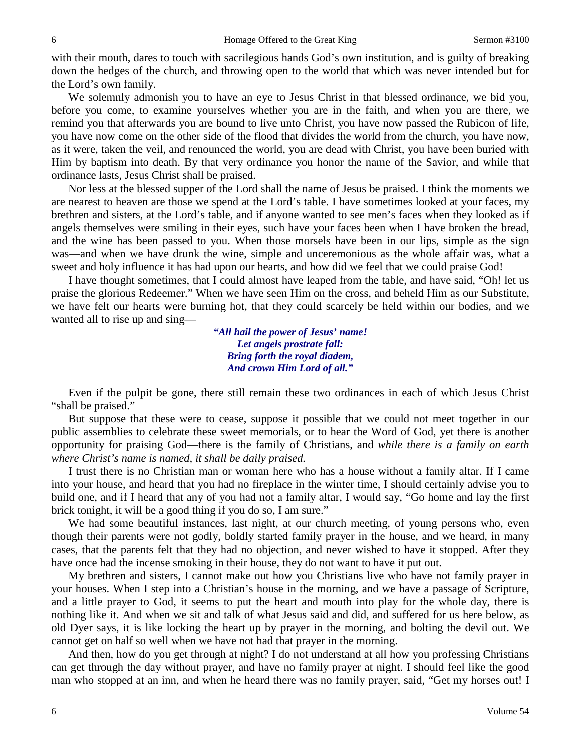with their mouth, dares to touch with sacrilegious hands God's own institution, and is guilty of breaking down the hedges of the church, and throwing open to the world that which was never intended but for the Lord's own family.

We solemnly admonish you to have an eye to Jesus Christ in that blessed ordinance, we bid you, before you come, to examine yourselves whether you are in the faith, and when you are there, we remind you that afterwards you are bound to live unto Christ, you have now passed the Rubicon of life, you have now come on the other side of the flood that divides the world from the church, you have now, as it were, taken the veil, and renounced the world, you are dead with Christ, you have been buried with Him by baptism into death. By that very ordinance you honor the name of the Savior, and while that ordinance lasts, Jesus Christ shall be praised.

Nor less at the blessed supper of the Lord shall the name of Jesus be praised. I think the moments we are nearest to heaven are those we spend at the Lord's table. I have sometimes looked at your faces, my brethren and sisters, at the Lord's table, and if anyone wanted to see men's faces when they looked as if angels themselves were smiling in their eyes, such have your faces been when I have broken the bread, and the wine has been passed to you. When those morsels have been in our lips, simple as the sign was—and when we have drunk the wine, simple and unceremonious as the whole affair was, what a sweet and holy influence it has had upon our hearts, and how did we feel that we could praise God!

I have thought sometimes, that I could almost have leaped from the table, and have said, "Oh! let us praise the glorious Redeemer." When we have seen Him on the cross, and beheld Him as our Substitute, we have felt our hearts were burning hot, that they could scarcely be held within our bodies, and we wanted all to rise up and sing—

> *"All hail the power of Jesus' name! Let angels prostrate fall: Bring forth the royal diadem, And crown Him Lord of all."*

Even if the pulpit be gone, there still remain these two ordinances in each of which Jesus Christ "shall be praised."

But suppose that these were to cease, suppose it possible that we could not meet together in our public assemblies to celebrate these sweet memorials, or to hear the Word of God, yet there is another opportunity for praising God—there is the family of Christians, and *while there is a family on earth where Christ's name is named, it shall be daily praised.* 

I trust there is no Christian man or woman here who has a house without a family altar. If I came into your house, and heard that you had no fireplace in the winter time, I should certainly advise you to build one, and if I heard that any of you had not a family altar, I would say, "Go home and lay the first brick tonight, it will be a good thing if you do so, I am sure."

We had some beautiful instances, last night, at our church meeting, of young persons who, even though their parents were not godly, boldly started family prayer in the house, and we heard, in many cases, that the parents felt that they had no objection, and never wished to have it stopped. After they have once had the incense smoking in their house, they do not want to have it put out.

My brethren and sisters, I cannot make out how you Christians live who have not family prayer in your houses. When I step into a Christian's house in the morning, and we have a passage of Scripture, and a little prayer to God, it seems to put the heart and mouth into play for the whole day, there is nothing like it. And when we sit and talk of what Jesus said and did, and suffered for us here below, as old Dyer says, it is like locking the heart up by prayer in the morning, and bolting the devil out. We cannot get on half so well when we have not had that prayer in the morning.

And then, how do you get through at night? I do not understand at all how you professing Christians can get through the day without prayer, and have no family prayer at night. I should feel like the good man who stopped at an inn, and when he heard there was no family prayer, said, "Get my horses out! I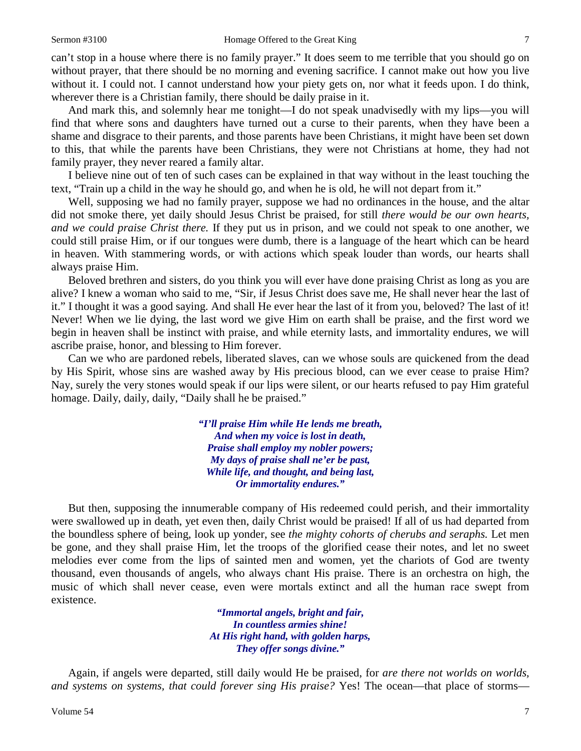can't stop in a house where there is no family prayer." It does seem to me terrible that you should go on without prayer, that there should be no morning and evening sacrifice. I cannot make out how you live without it. I could not. I cannot understand how your piety gets on, nor what it feeds upon. I do think, wherever there is a Christian family, there should be daily praise in it.

And mark this, and solemnly hear me tonight—I do not speak unadvisedly with my lips—you will find that where sons and daughters have turned out a curse to their parents, when they have been a shame and disgrace to their parents, and those parents have been Christians, it might have been set down to this, that while the parents have been Christians, they were not Christians at home, they had not family prayer, they never reared a family altar.

I believe nine out of ten of such cases can be explained in that way without in the least touching the text, "Train up a child in the way he should go, and when he is old, he will not depart from it."

Well, supposing we had no family prayer, suppose we had no ordinances in the house, and the altar did not smoke there, yet daily should Jesus Christ be praised, for still *there would be our own hearts, and we could praise Christ there.* If they put us in prison, and we could not speak to one another, we could still praise Him, or if our tongues were dumb, there is a language of the heart which can be heard in heaven. With stammering words, or with actions which speak louder than words, our hearts shall always praise Him.

Beloved brethren and sisters, do you think you will ever have done praising Christ as long as you are alive? I knew a woman who said to me, "Sir, if Jesus Christ does save me, He shall never hear the last of it." I thought it was a good saying. And shall He ever hear the last of it from you, beloved? The last of it! Never! When we lie dying, the last word we give Him on earth shall be praise, and the first word we begin in heaven shall be instinct with praise, and while eternity lasts, and immortality endures, we will ascribe praise, honor, and blessing to Him forever.

Can we who are pardoned rebels, liberated slaves, can we whose souls are quickened from the dead by His Spirit, whose sins are washed away by His precious blood, can we ever cease to praise Him? Nay, surely the very stones would speak if our lips were silent, or our hearts refused to pay Him grateful homage. Daily, daily, daily, "Daily shall he be praised."

> *"I'll praise Him while He lends me breath, And when my voice is lost in death, Praise shall employ my nobler powers; My days of praise shall ne'er be past, While life, and thought, and being last, Or immortality endures."*

But then, supposing the innumerable company of His redeemed could perish, and their immortality were swallowed up in death, yet even then, daily Christ would be praised! If all of us had departed from the boundless sphere of being, look up yonder, see *the mighty cohorts of cherubs and seraphs.* Let men be gone, and they shall praise Him, let the troops of the glorified cease their notes, and let no sweet melodies ever come from the lips of sainted men and women, yet the chariots of God are twenty thousand, even thousands of angels, who always chant His praise. There is an orchestra on high, the music of which shall never cease, even were mortals extinct and all the human race swept from existence.

> *"Immortal angels, bright and fair, In countless armies shine! At His right hand, with golden harps, They offer songs divine."*

Again, if angels were departed, still daily would He be praised, for *are there not worlds on worlds, and systems on systems, that could forever sing His praise?* Yes! The ocean—that place of storms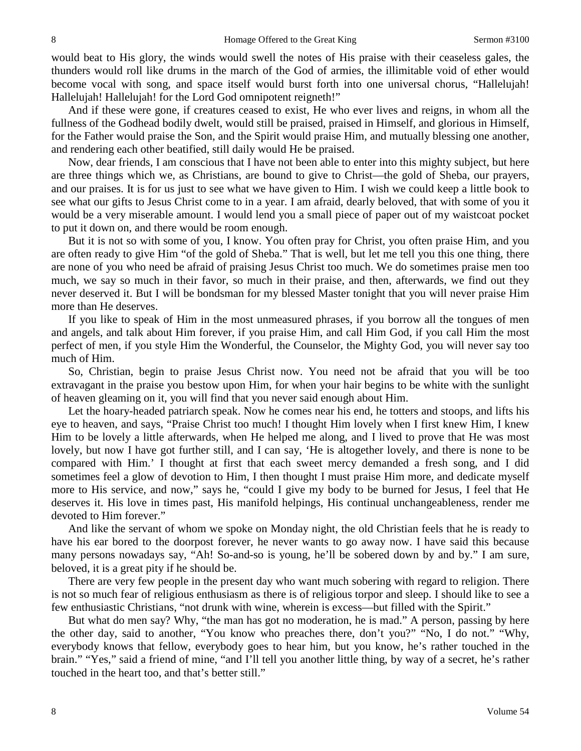would beat to His glory, the winds would swell the notes of His praise with their ceaseless gales, the thunders would roll like drums in the march of the God of armies, the illimitable void of ether would become vocal with song, and space itself would burst forth into one universal chorus, "Hallelujah! Hallelujah! Hallelujah! for the Lord God omnipotent reigneth!"

And if these were gone, if creatures ceased to exist, He who ever lives and reigns, in whom all the fullness of the Godhead bodily dwelt, would still be praised, praised in Himself, and glorious in Himself, for the Father would praise the Son, and the Spirit would praise Him, and mutually blessing one another, and rendering each other beatified, still daily would He be praised.

Now, dear friends, I am conscious that I have not been able to enter into this mighty subject, but here are three things which we, as Christians, are bound to give to Christ—the gold of Sheba, our prayers, and our praises. It is for us just to see what we have given to Him. I wish we could keep a little book to see what our gifts to Jesus Christ come to in a year. I am afraid, dearly beloved, that with some of you it would be a very miserable amount. I would lend you a small piece of paper out of my waistcoat pocket to put it down on, and there would be room enough.

But it is not so with some of you, I know. You often pray for Christ, you often praise Him, and you are often ready to give Him "of the gold of Sheba." That is well, but let me tell you this one thing, there are none of you who need be afraid of praising Jesus Christ too much. We do sometimes praise men too much, we say so much in their favor, so much in their praise, and then, afterwards, we find out they never deserved it. But I will be bondsman for my blessed Master tonight that you will never praise Him more than He deserves.

If you like to speak of Him in the most unmeasured phrases, if you borrow all the tongues of men and angels, and talk about Him forever, if you praise Him, and call Him God, if you call Him the most perfect of men, if you style Him the Wonderful, the Counselor, the Mighty God, you will never say too much of Him.

So, Christian, begin to praise Jesus Christ now. You need not be afraid that you will be too extravagant in the praise you bestow upon Him, for when your hair begins to be white with the sunlight of heaven gleaming on it, you will find that you never said enough about Him.

Let the hoary-headed patriarch speak. Now he comes near his end, he totters and stoops, and lifts his eye to heaven, and says, "Praise Christ too much! I thought Him lovely when I first knew Him, I knew Him to be lovely a little afterwards, when He helped me along, and I lived to prove that He was most lovely, but now I have got further still, and I can say, 'He is altogether lovely, and there is none to be compared with Him.' I thought at first that each sweet mercy demanded a fresh song, and I did sometimes feel a glow of devotion to Him, I then thought I must praise Him more, and dedicate myself more to His service, and now," says he, "could I give my body to be burned for Jesus, I feel that He deserves it. His love in times past, His manifold helpings, His continual unchangeableness, render me devoted to Him forever."

And like the servant of whom we spoke on Monday night, the old Christian feels that he is ready to have his ear bored to the doorpost forever, he never wants to go away now. I have said this because many persons nowadays say, "Ah! So-and-so is young, he'll be sobered down by and by." I am sure, beloved, it is a great pity if he should be.

There are very few people in the present day who want much sobering with regard to religion. There is not so much fear of religious enthusiasm as there is of religious torpor and sleep. I should like to see a few enthusiastic Christians, "not drunk with wine, wherein is excess—but filled with the Spirit."

But what do men say? Why, "the man has got no moderation, he is mad." A person, passing by here the other day, said to another, "You know who preaches there, don't you?" "No, I do not." "Why, everybody knows that fellow, everybody goes to hear him, but you know, he's rather touched in the brain." "Yes," said a friend of mine, "and I'll tell you another little thing, by way of a secret, he's rather touched in the heart too, and that's better still."